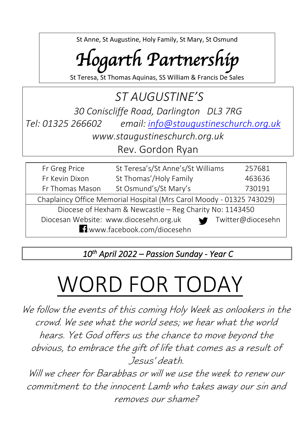St Anne, St Augustine, Holy Family, St Mary, St Osmund

## *Hogarth Partnership*

St Teresa, St Thomas Aquinas, SS William & Francis De Sales

### *ST AUGUSTINE'S 30 Coniscliffe Road, Darlington DL3 7RG Tel: 01325 266602 email: [info@staugustineschurch.org.uk](mailto:info@staugustineschurch.org.uk) www.staugustineschurch.org.uk*

Rev. Gordon Ryan

| Fr Greg Price                                                        | St Teresa's/St Anne's/St Williams | 257681 |  |  |  |
|----------------------------------------------------------------------|-----------------------------------|--------|--|--|--|
| Fr Kevin Dixon                                                       | St Thomas'/Holy Family            | 463636 |  |  |  |
| Fr Thomas Mason                                                      | St Osmund's/St Mary's             | 730191 |  |  |  |
| Chaplaincy Office Memorial Hospital (Mrs Carol Moody - 01325 743029) |                                   |        |  |  |  |
| Diocese of Hexham & Newcastle - Reg Charity No: 1143450              |                                   |        |  |  |  |
| Diocesan Website: www.diocesehn.org.uk<br>Twitter@diocesehn          |                                   |        |  |  |  |
| <b>E1:</b> www.facebook.com/diocesehn                                |                                   |        |  |  |  |

*10th April 2022 – Passion Sunday - Year C* 

# WORD FOR TODAY

We follow the events of this coming Holy Week as onlookers in the crowd. We see what the world sees; we hear what the world hears. Yet God offers us the chance to move beyond the obvious, to embrace the gift of life that comes as a result of Jesus' death.

Will we cheer for Barabbas or will we use the week to renew our commitment to the innocent Lamb who takes away our sin and removes our shame?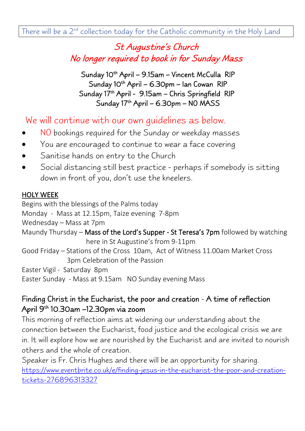#### St Augustine's Church No longer required to book in for Sunday Mass

Sunday 10<sup>th</sup> April – 9.15am – Vincent McCulla RIP Sunday 10<sup>th</sup> April – 6.30pm – Ian Cowan RIP Sunday 17<sup>th</sup> April - 9.15am – Chris Springfield RIP Sunday 17th April – 6.30pm – NO MASS

We will continue with our own guidelines as below.

- NO bookings required for the Sunday or weekday masses
- You are encouraged to continue to wear a face covering
- Sanitise hands on entry to the Church
- Social distancing still best practice perhaps if somebody is sitting down in front of you, don't use the kneelers.

#### HOLY WEEK

Begins with the blessings of the Palms today Monday - Mass at 12.15pm, Taize evening 7-8pm Wednesday – Mass at 7pm Maundy Thursday – Mass of the Lord's Supper - St Teresa's 7pm followed by watching here in St Augustine's from 9-11pm Good Friday – Stations of the Cross 10am, Act of Witness 11.00am Market Cross 3pm Celebration of the Passion Easter Vigil - Saturday 8pm Easter Sunday - Mass at 9.15am NO Sunday evening Mass

#### Finding Christ in the Eucharist, the poor and creation - A time of reflection April 9<sup>th</sup> 10.30am –12.30pm via zoom

This morning of reflection aims at widening our understanding about the connection between the Eucharist, food justice and the ecological crisis we are in. It will explore how we are nourished by the Eucharist and are invited to nourish others and the whole of creation.

Speaker is Fr. Chris Hughes and there will be an opportunity for sharing. [https://www.eventbrite.co.uk/e/finding-jesus-in-the-eucharist-the-poor-and-creation](https://www.eventbrite.co.uk/e/finding-jesus-in-the-eucharist-the-poor-and-creation-tickets-276896313327)[tickets-276896313327](https://www.eventbrite.co.uk/e/finding-jesus-in-the-eucharist-the-poor-and-creation-tickets-276896313327)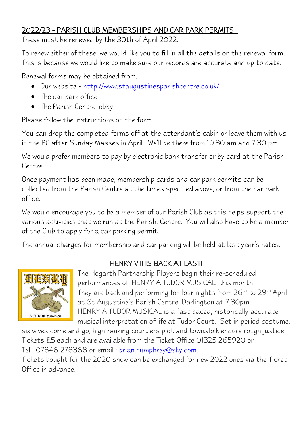#### 2022/23 - PARISH CLUB MEMBERSHIPS AND CAR PARK PERMITS

These must be renewed by the 30th of April 2022.

To renew either of these, we would like you to fill in all the details on the renewal form. This is because we would like to make sure our records are accurate and up to date.

Renewal forms may be obtained from:

- Our website <http://www.staugustinesparishcentre.co.uk/>
- The car park office
- The Parish Centre lobby

Please follow the instructions on the form.

You can drop the completed forms off at the attendant's cabin or leave them with us in the PC after Sunday Masses in April. We'll be there from 10.30 am and 7.30 pm.

We would prefer members to pay by electronic bank transfer or by card at the Parish Centre.

Once payment has been made, membership cards and car park permits can be collected from the Parish Centre at the times specified above, or from the car park office.

We would encourage you to be a member of our Parish Club as this helps support the various activities that we run at the Parish. Centre. You will also have to be a member of the Club to apply for a car parking permit.

The annual charges for membership and car parking will be held at last year's rates.



#### HENRY VIII IS BACK AT LAST!

The Hogarth Partnership Players begin their re-scheduled performances of 'HENRY A TUDOR MUSICAL' this month. They are back and performing for four nights from  $26<sup>th</sup>$  to  $29<sup>th</sup>$  April at St Augustine's Parish Centre, Darlington at 7.30pm. HENRY A TUDOR MUSICAL is a fast paced, historically accurate musical interpretation of life at Tudor Court. Set in period costume,

six wives come and go, high ranking courtiers plot and townsfolk endure rough justice. Tickets £5 each and are available from the Ticket Office 01325 265920 or Tel: 07846 278368 or email: [brian.humphrey@sky.com.](mailto:brian.humphrey@sky.com)

Tickets bought for the 2020 show can be exchanged for new 2022 ones via the Ticket Office in advance.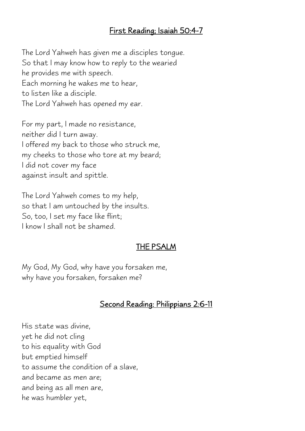#### First Reading; Isaiah 50:4-7

The Lord Yahweh has given me a disciples tongue. So that I may know how to reply to the wearied he provides me with speech. Each morning he wakes me to hear, to listen like a disciple. The Lord Yahweh has opened my ear.

For my part, I made no resistance, neither did I turn away. I offered my back to those who struck me, my cheeks to those who tore at my beard; I did not cover my face against insult and spittle.

The Lord Yahweh comes to my help, so that I am untouched by the insults. So, too, I set my face like flint; I know I shall not be shamed.

#### THE PSALM

My God, My God, why have you forsaken me, why have you forsaken, forsaken me?

#### Second Reading: Philippians 2:6-11

His state was divine, yet he did not cling to his equality with God but emptied himself to assume the condition of a slave, and became as men are; and being as all men are, he was humbler yet,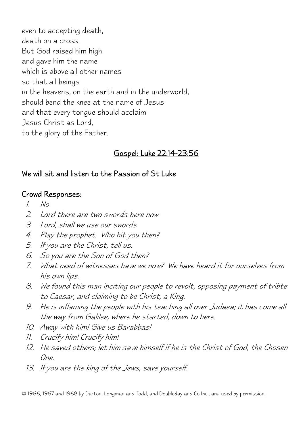even to accepting death, death on a cross. But God raised him high and gave him the name which is above all other names so that all beings in the heavens, on the earth and in the underworld, should bend the knee at the name of Jesus and that every tongue should acclaim Jesus Christ as Lord, to the glory of the Father.

#### Gospel: Luke 22:14-23:56

#### We will sit and listen to the Passion of St Luke

#### Crowd Responses:

- $1$   $N<sub>O</sub>$
- 2. Lord there are two swords here now
- 3. Lord, shall we use our swords
- 4. Play the prophet. Who hit you then?
- 5. If you are the Christ, tell us.
- 6. So you are the Son of God then?
- 7. What need of witnesses have we now? We have heard it for ourselves from his own lips.
- 8. We found this man inciting our people to revolt, opposing payment of tribte to Caesar, and claiming to be Christ, a King.
- 9. He is inflaming the people with his teaching all over Judaea; it has come all the way from Galilee, where he started, down to here.
- 10. Away with him! Give us Barabbas!
- 11. Crucify him! Crucify him!
- 12. He saved others; let him save himself if he is the Christ of God, the Chosen One.
- 13. If you are the king of the Jews, save yourself.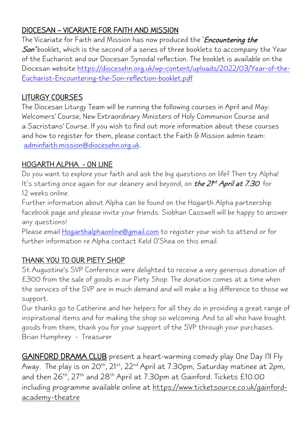#### DIOCESAN – VICARIATE FOR FAITH AND MISSION

The Vicariate for Faith and Mission has now produced the '*Encountering the* Son' booklet, which is the second of a series of three booklets to accompany the Year of the Eucharist and our Diocesan Synodal reflection. The booklet is available on the Diocesan website [https://diocesehn.org.uk/wp-content/uploads/2022/03/Year-of-the-](https://diocesehn.org.uk/wp-content/uploads/2022/03/Year-of-the-Eucharist-Encountering-the-Son-reflection-booklet.pdf)[Eucharist-Encountering-the-Son-reflection-booklet.pdf](https://diocesehn.org.uk/wp-content/uploads/2022/03/Year-of-the-Eucharist-Encountering-the-Son-reflection-booklet.pdf) 

#### LITURGY COURSES

The Diocesan Liturgy Team will be running the following courses in April and May: Welcomers' Course, New Extraordinary Ministers of Holy Communion Course and a Sacristans' Course. If you wish to find out more information about these courses and how to register for them, please contact the Faith & Mission admin team: [adminfaith.mission@diocesehn.org.uk.](mailto:adminfaith.mission@diocesehn.org.uk)

#### HOGARTH ALPHA - ON LINE

Do you want to explore your faith and ask the big questions on life? Then try Alpha! It's starting once again for our deanery and beyond, on *the 21<sup>st</sup> April at 7.30* for 12 weeks online.

Further information about Alpha can be found on the Hogarth Alpha partnership facebook page and please invite your friends. Siobhan Casswell will be happy to answer any questions!

Please email [Hogarthalphaonline@gmail.com](mailto:Hogarthalphaonline@gmail.com) to register your wish to attend or for further information re Alpha contact Keld O'Shea on this email.

#### THANK YOU TO OUR PIETY SHOP

St Augustine's SVP Conference were delighted to receive a very generous donation of £300 from the sale of goods in our Piety Shop. The donation comes at a time when the services of the SVP are in much demand and will make a big difference to those we support.

Our thanks go to Catherine and her helpers for all they do in providing a great range of inspirational items and for making the shop so welcoming. And to all who have bought goods from them, thank you for your support of the SVP through your purchases. Brian Humphrey - Treasurer

GAINFORD DRAMA CLUB present a heart-warming comedy play One Day I'll Fly Away. The play is on 20<sup>th</sup>, 21<sup>st</sup>, 22<sup>nd</sup> April at 7.30pm, Saturday matinee at 2pm, and then 26<sup>th</sup>, 27<sup>th</sup> and 28<sup>th</sup> April at 7.30pm at Gainford. Tickets £10.00 including programme available online at [https://www.ticketsource.co.uk/gainford](https://www.ticketsource.co.uk/gainford-academy-theatre)[academy-theatre](https://www.ticketsource.co.uk/gainford-academy-theatre)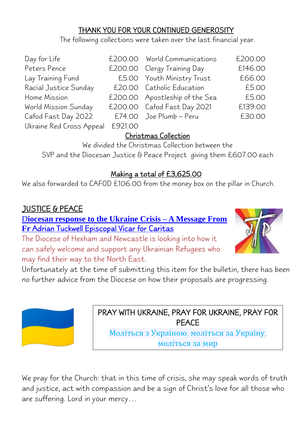#### THANK YOU FOR YOUR CONTINUED GENEROSITY

The following collections were taken over the last financial year.

| Day for Life             |         | £200.00 World Communications   | £200.00 |
|--------------------------|---------|--------------------------------|---------|
| Peters Pence             |         | £200.00 Clergy Training Day    | £146.00 |
| Lay Training Fund        |         | £5.00 Youth Ministry Trust     | £66.00  |
| Racial Justice Sunday    |         | £20.00 Catholic Education      | £5.00   |
| Home Mission             |         | £200.00 Apostleship of the Sea | £5.00   |
| World Mission Sunday     |         | £200.00 Cafod Fast Day 2021    | £139.00 |
| Cafod Fast Day 2022      |         | £74.00 Joe Plumb – Peru        | £30.00  |
| Ukraine Red Cross Appeal | £921.00 |                                |         |

#### Christmas Collection

We divided the Christmas Collection between the SVP and the Diocesan Justice & Peace Project giving them £607.00 each

#### Making a total of £3,625.00

We also forwarded to CAFOD £106.00 from the money box on the pillar in Church.

#### JUSTICE & PEACE

D**iocesan response to the Ukraine Crisis – A Message From Fr** Adrian Tuckwell Episcopal Vicar for Caritas

The Diocese of Hexham and Newcastle is looking into how it can safely welcome and support any Ukrainian Refugees who may find their way to the North East.



Unfortunately at the time of submitting this item for the bulletin, there has been no further advice from the Diocese on how their proposals are progressing.



PRAY WITH UKRAINE, PRAY FOR UKRAINE, PRAY FOR PEACE

Моліться з Україною, моліться за Україну, моліться за мир

We pray for the Church: that in this time of crisis, she may speak words of truth and justice, act with compassion and be a sign of Christ's love for all those who are suffering. Lord in your mercy…